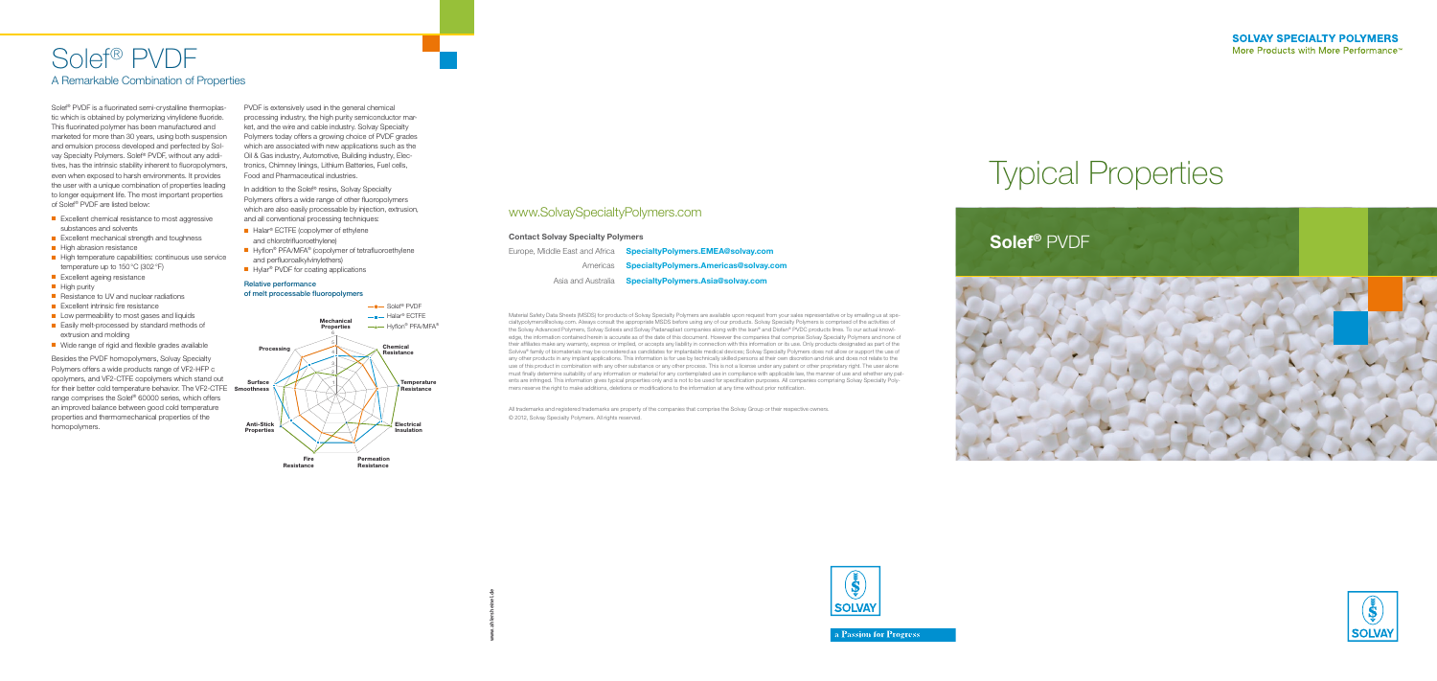## Solef® PVDF A Remarkable Combination of Properties

Solef® PVDF is a fluorinated semi-crystalline thermoplastic which is obtained by polymerizing vinylidene fluoride. This fluorinated polymer has been manufactured and marketed for more than 30 years, using both suspension and emulsion process developed and perfected by Solvay Specialty Polymers. Solef® PVDF, without any additives, has the intrinsic stability inherent to fluoropolymers, even when exposed to harsh environments. It provides the user with a unique combination of properties leading to longer equipment life. The most important properties of Solef® PVDF are listed below:

- $\blacksquare$  Excellent chemical resistance to most aggressive substances and solvents
- $\blacksquare$  Excellent mechanical strength and toughness
- **n** High abrasion resistance
- $\blacksquare$  High temperature capabilities: continuous use service temperature up to 150°C (302°F)
- **n** Excellent ageing resistance
- **n** High purity
- $\blacksquare$  Resistance to UV and nuclear radiations
- $\blacksquare$  Excellent intrinsic fire resistance
- $\blacksquare$  Low permeability to most gases and liquids
- $\blacksquare$  Easily melt-processed by standard methods of extrusion and molding
- $\blacksquare$  Wide range of rigid and flexible grades available

In addition to the Solef® resins, Solvay Specialty Polymers offers a wide range of other fluoropolymers which are also easily processable by injection, extrusion, and all conventional processing techniques:

- $\blacksquare$  Halar<sup>®</sup> ECTFE (copolymer of ethylene and chlorotrifluoroethylene)
- $\blacksquare$  Hyflon® PFA/MFA® (copolymer of tetrafluoroethylene and perfluoroalkylvinylethers)
- $\blacksquare$  Hylar<sup>®</sup> PVDF for coating applications

Besides the PVDF homopolymers, Solvay Specialty Polymers offers a wide products range of VF2-HFP c opolymers, and VF2-CTFE copolymers which stand out for their better cold temperature behavior. The VF2-CTFE **Smoothness** range comprises the Solef® 60000 series, which offers an improved balance between good cold temperature properties and thermomechanical properties of the homopolymers.

PVDF is extensively used in the general chemical processing industry, the high purity semiconductor market, and the wire and cable industry. Solvay Specialty Polymers today offers a growing choice of PVDF grades which are associated with new applications such as the Oil & Gas industry, Automotive, Building industry, Electronics, Chimney linings, Lithium Batteries, Fuel cells, Food and Pharmaceutical industries.



#### Relative performance of melt processable fluoropolymers

Material Safety Data Sheets (MSDS) for products of Solvay Specialty Polymers are available upon request from your sales representative or by emailing us at specialtypolymers@solvay.com. Always consult the appropriate MSDS before using any of our products. Solvay Specialty Polymers is comprised of the activities of the Solvay Advanced Polymers, Solvay Solexis and Solvay Padanaplast companies along with the Ixan® and Diofan® PVDC products lines. To our actual knowledge, the information contained herein is accurate as of the date of this document. However the companies that comprise Solvay Specialty Polymers and none of their affiliates make any warranty, express or implied, or accepts any liability in connection with this information or its use. Only products designated as part of the Solviva® family of biomaterials may be considered as candidates for implantable medical devices; Solvay Specialty Polymers does not allow or support the use of any other products in any implant applications. This information is for use by technically skilled persons at their own discretion and risk and does not relate to the use of this product in combination with any other substance or any other process. This is not a license under any patent or other proprietary right. The user alone must finally determine suitability of any information or material for any contemplated use in compliance with applicable law, the manner of use and whether any patents are infringed. This information gives typical properties only and is not to be used for specification purposes. All companies comprising Solvay Specialty Polymers reserve the right to make additions, deletions or modifications to the information at any time without prior notification.

All trademarks and registered trademarks are property of the companies that comprise the Solvay Group or their respective owners. © 2012, Solvay Specialty Polymers. All rights reserved.

### www.SolvaySpecialtyPolymers.com

#### Contact Solvay Specialty Polymers

| <b>SpecialtyPolymers.EMEA</b>  | Europe, Middle East and Africa |
|--------------------------------|--------------------------------|
| <b>SpecialtyPolymers.Ameri</b> | Americas                       |
| SpecialtyPolymers.Asia@        | Asia and Australia             |







a Passion for Progress<sup>®</sup>



# Typical Properties

### **A@solvay.com** icas@solvay.com **Solvay.com**